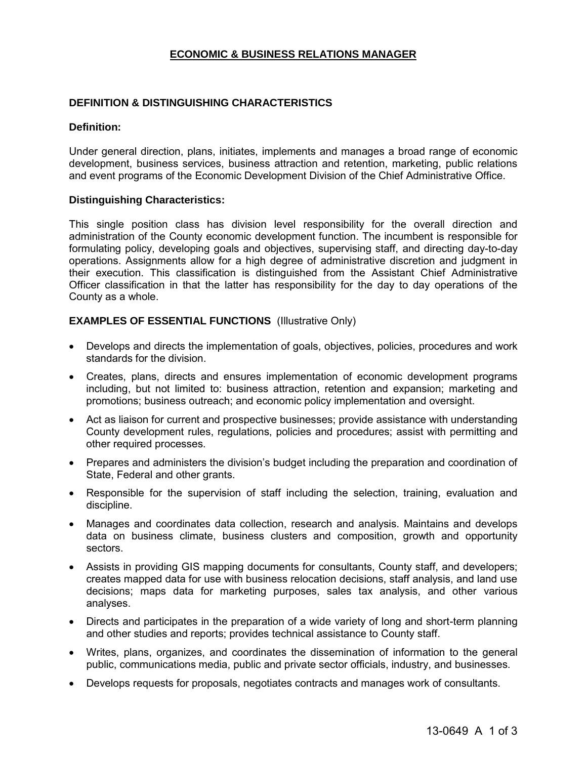# **ECONOMIC & BUSINESS RELATIONS MANAGER**

# **DEFINITION & DISTINGUISHING CHARACTERISTICS**

#### **Definition:**

Under general direction, plans, initiates, implements and manages a broad range of economic development, business services, business attraction and retention, marketing, public relations and event programs of the Economic Development Division of the Chief Administrative Office.

## **Distinguishing Characteristics:**

This single position class has division level responsibility for the overall direction and administration of the County economic development function. The incumbent is responsible for formulating policy, developing goals and objectives, supervising staff, and directing day-to-day operations. Assignments allow for a high degree of administrative discretion and judgment in their execution. This classification is distinguished from the Assistant Chief Administrative Officer classification in that the latter has responsibility for the day to day operations of the County as a whole.

## **EXAMPLES OF ESSENTIAL FUNCTIONS** (Illustrative Only)

- Develops and directs the implementation of goals, objectives, policies, procedures and work standards for the division.
- Creates, plans, directs and ensures implementation of economic development programs including, but not limited to: business attraction, retention and expansion; marketing and promotions; business outreach; and economic policy implementation and oversight.
- Act as liaison for current and prospective businesses; provide assistance with understanding County development rules, regulations, policies and procedures; assist with permitting and other required processes.
- Prepares and administers the division's budget including the preparation and coordination of State, Federal and other grants.
- Responsible for the supervision of staff including the selection, training, evaluation and discipline.
- Manages and coordinates data collection, research and analysis. Maintains and develops data on business climate, business clusters and composition, growth and opportunity sectors.
- Assists in providing GIS mapping documents for consultants, County staff, and developers; creates mapped data for use with business relocation decisions, staff analysis, and land use decisions; maps data for marketing purposes, sales tax analysis, and other various analyses.
- Directs and participates in the preparation of a wide variety of long and short-term planning and other studies and reports; provides technical assistance to County staff.
- Writes, plans, organizes, and coordinates the dissemination of information to the general public, communications media, public and private sector officials, industry, and businesses.
- Develops requests for proposals, negotiates contracts and manages work of consultants.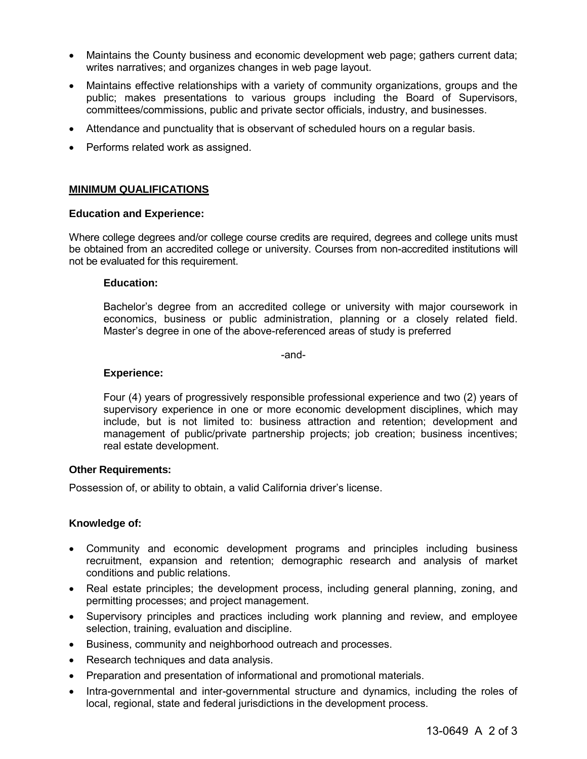- Maintains the County business and economic development web page; gathers current data; writes narratives; and organizes changes in web page layout.
- Maintains effective relationships with a variety of community organizations, groups and the public; makes presentations to various groups including the Board of Supervisors, committees/commissions, public and private sector officials, industry, and businesses.
- Attendance and punctuality that is observant of scheduled hours on a regular basis.
- Performs related work as assigned.

## **MINIMUM QUALIFICATIONS**

## **Education and Experience:**

Where college degrees and/or college course credits are required, degrees and college units must be obtained from an accredited college or university. Courses from non-accredited institutions will not be evaluated for this requirement.

#### **Education:**

Bachelor's degree from an accredited college or university with major coursework in economics, business or public administration, planning or a closely related field. Master's degree in one of the above-referenced areas of study is preferred

-and-

#### **Experience:**

Four (4) years of progressively responsible professional experience and two (2) years of supervisory experience in one or more economic development disciplines, which may include, but is not limited to: business attraction and retention; development and management of public/private partnership projects; job creation; business incentives; real estate development.

#### **Other Requirements:**

Possession of, or ability to obtain, a valid California driver's license.

## **Knowledge of:**

- Community and economic development programs and principles including business recruitment, expansion and retention; demographic research and analysis of market conditions and public relations.
- Real estate principles; the development process, including general planning, zoning, and permitting processes; and project management.
- Supervisory principles and practices including work planning and review, and employee selection, training, evaluation and discipline.
- Business, community and neighborhood outreach and processes.
- Research techniques and data analysis.
- Preparation and presentation of informational and promotional materials.
- Intra-governmental and inter-governmental structure and dynamics, including the roles of local, regional, state and federal jurisdictions in the development process.